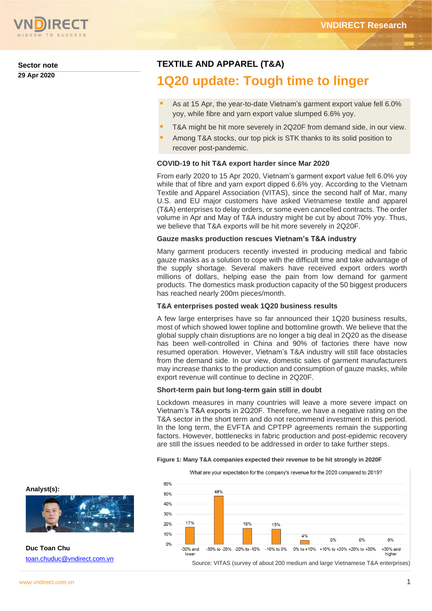

**Sector note 29 Apr 2020**

# **TEXTILE AND APPAREL (T&A)**

# **1Q20 update: Tough time to linger**

- As at 15 Apr, the year-to-date Vietnam's garment export value fell 6.0% yoy, while fibre and yarn export value slumped 6.6% yoy.
- T&A might be hit more severely in 2Q20F from demand side, in our view.
- Among T&A stocks, our top pick is STK thanks to its solid position to recover post-pandemic.

### **COVID-19 to hit T&A export harder since Mar 2020**

From early 2020 to 15 Apr 2020, Vietnam's garment export value fell 6.0% yoy while that of fibre and yarn export dipped 6.6% yoy. According to the Vietnam Textile and Apparel Association (VITAS), since the second half of Mar, many U.S. and EU major customers have asked Vietnamese textile and apparel (T&A) enterprises to delay orders, or some even cancelled contracts. The order volume in Apr and May of T&A industry might be cut by about 70% yoy. Thus, we believe that T&A exports will be hit more severely in 2Q20F.

### **Gauze masks production rescues Vietnam's T&A industry**

Many garment producers recently invested in producing medical and fabric gauze masks as a solution to cope with the difficult time and take advantage of the supply shortage. Several makers have received export orders worth millions of dollars, helping ease the pain from low demand for garment products. The domestics mask production capacity of the 50 biggest producers has reached nearly 200m pieces/month.

### **T&A enterprises posted weak 1Q20 business results**

A few large enterprises have so far announced their 1Q20 business results, most of which showed lower topline and bottomline growth. We believe that the global supply chain disruptions are no longer a big deal in 2Q20 as the disease has been well-controlled in China and 90% of factories there have now resumed operation. However, Vietnam's T&A industry will still face obstacles from the demand side. In our view, domestic sales of garment manufacturers may increase thanks to the production and consumption of gauze masks, while export revenue will continue to decline in 2Q20F.

### **Short-term pain but long-term gain still in doubt**

Lockdown measures in many countries will leave a more severe impact on Vietnam's T&A exports in 2Q20F. Therefore, we have a negative rating on the T&A sector in the short term and do not recommend investment in this period. In the long term, the EVFTA and CPTPP agreements remain the supporting factors. However, bottlenecks in fabric production and post-epidemic recovery are still the issues needed to be addressed in order to take further steps.

#### **Figure 1: Many T&A companies expected their revenue to be hit strongly in 2020F**

What are your expectation for the company's revenue for the 2020 compared to 2019?



**Analyst(s):**



**Duc Toan Chu** [toan.chuduc@vndirect.com.vn](mailto:toan.chuduc@vndirect.com.vn)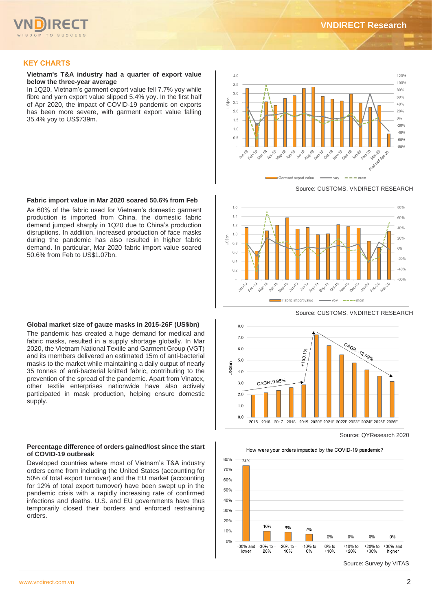

# **KEY CHARTS**

#### **Vietnam's T&A industry had a quarter of export value below the three-year average**

In 1Q20, Vietnam's garment export value fell 7.7% yoy while fibre and yarn export value slipped 5.4% yoy. In the first half of Apr 2020, the impact of COVID-19 pandemic on exports has been more severe, with garment export value falling 35.4% yoy to US\$739m.

### **Fabric import value in Mar 2020 soared 50.6% from Feb**

As 60% of the fabric used for Vietnam's domestic garment production is imported from China, the domestic fabric demand jumped sharply in 1Q20 due to China's production disruptions. In addition, increased production of face masks during the pandemic has also resulted in higher fabric demand. In particular, Mar 2020 fabric import value soared 50.6% from Feb to US\$1.07bn.

#### **Global market size of gauze masks in 2015-26F (US\$bn)**

The pandemic has created a huge demand for medical and fabric masks, resulted in a supply shortage globally. In Mar 2020, the Vietnam National Textile and Garment Group (VGT) and its members delivered an estimated 15m of anti-bacterial masks to the market while maintaining a daily output of nearly 35 tonnes of anti-bacterial knitted fabric, contributing to the prevention of the spread of the pandemic. Apart from Vinatex, other textile enterprises nationwide have also actively participated in mask production, helping ensure domestic supply.

### **Percentage difference of orders gained/lost since the start of COVID-19 outbreak**

Developed countries where most of Vietnam's T&A industry orders come from including the United States (accounting for 50% of total export turnover) and the EU market (accounting for 12% of total export turnover) have been swept up in the pandemic crisis with a rapidly increasing rate of confirmed infections and deaths. U.S. and EU governments have thus temporarily closed their borders and enforced restraining orders.



Source: CUSTOMS, VNDIRECT RESEARCH



Source: CUSTOMS, VNDIRECT RESEARCH



Source: QYResearch 2020

How were your orders impacted by the COVID-19 pandemic?



Source: Survey by VITAS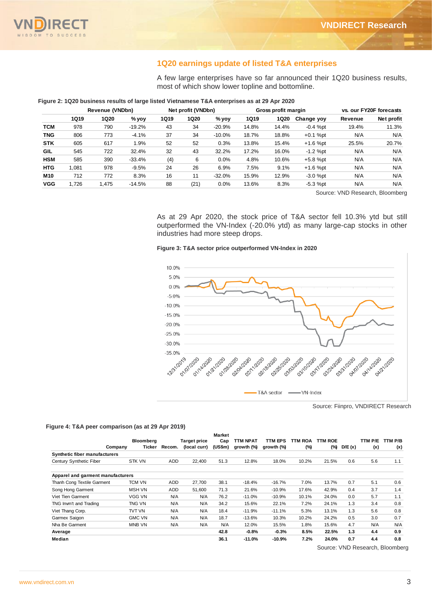

# **1Q20 earnings update of listed T&A enterprises**

|            |                 |             | Figure 2: 1Q20 business results of large listed Vietnamese T&A enterprises as at 29 Apr 2020 |                    |             | most of which show lower topline and bottomline. |                     |       | A few large enterprises have so far announced their 1Q20 business results, |                         |            |  |
|------------|-----------------|-------------|----------------------------------------------------------------------------------------------|--------------------|-------------|--------------------------------------------------|---------------------|-------|----------------------------------------------------------------------------|-------------------------|------------|--|
|            | Revenue (VNDbn) |             |                                                                                              | Net profit (VNDbn) |             |                                                  | Gross profit margin |       |                                                                            | vs. our FY20F forecasts |            |  |
|            | <b>1Q19</b>     | <b>1Q20</b> | $%$ yoy                                                                                      | <b>1Q19</b>        | <b>1Q20</b> | $%$ yoy                                          | <b>1Q19</b>         | 1Q20  | Change yoy                                                                 | Revenue                 | Net profit |  |
| <b>TCM</b> | 978             | 790         | $-19.2%$                                                                                     | 43                 | 34          | $-20.9%$                                         | 14.8%               | 14.4% | $-0.4$ %pt                                                                 | 19.4%                   | 11.3%      |  |
| <b>TNG</b> | 806             | 773         | $-4.1%$                                                                                      | 37                 | 34          | $-10.0\%$                                        | 18.7%               | 18.8% | $+0.1%$ pt                                                                 | N/A                     | N/A        |  |
| <b>STK</b> | 605             | 617         | 1.9%                                                                                         | 52                 | 52          | 0.3%                                             | 13.8%               | 15.4% | $+1.6$ %pt                                                                 | 25.5%                   | 20.7%      |  |
| <b>GIL</b> | 545             | 722         | 32.4%                                                                                        | 32                 | 43          | 32.2%                                            | 17.2%               | 16.0% | $-1.2$ %pt                                                                 | N/A                     | N/A        |  |
| <b>HSM</b> | 585             | 390         | $-33.4%$                                                                                     | (4)                | 6           | 0.0%                                             | 4.8%                | 10.6% | $+5.8$ %pt                                                                 | N/A                     | N/A        |  |
| <b>HTG</b> | 1.081           | 978         | $-9.5%$                                                                                      | 24                 | 26          | 6.9%                                             | 7.5%                | 9.1%  | $+1.6$ %pt                                                                 | N/A                     | N/A        |  |
| M10        | 712             | 772         | 8.3%                                                                                         | 16                 | 11          | $-32.0\%$                                        | 15.9%               | 12.9% | $-3.0$ %pt                                                                 | N/A                     | N/A        |  |
| <b>VGG</b> | 1.726           | 1.475       | $-14.5%$                                                                                     | 88                 | (21)        | 0.0%                                             | 13.6%               | 8.3%  | $-5.3$ %pt                                                                 | N/A                     | N/A        |  |

### **Figure 2: 1Q20 business results of large listed Vietnamese T&A enterprises as at 29 Apr 2020**

Source: VND Research, Bloomberg

As at 29 Apr 2020, the stock price of T&A sector fell 10.3% ytd but still outperformed the VN-Index (-20.0% ytd) as many large-cap stocks in other industries had more steep drops.

#### **Figure 3: T&A sector price outperformed VN-Index in 2020**



Source: Fiinpro, VNDIRECT Research

#### **Figure 4: T&A peer comparison (as at 29 Apr 2019)**

|                                   |         |               |            |                     | <b>Market</b> |            |            |                |         |        |         |         |
|-----------------------------------|---------|---------------|------------|---------------------|---------------|------------|------------|----------------|---------|--------|---------|---------|
|                                   |         | Bloomberg     |            | <b>Target price</b> | Cap           | TTM NPAT   | TTM EPS    | <b>TTM ROA</b> | TTM ROE |        | TTM P/E | TTM P/B |
|                                   | Company | Ticker        | Recom.     | (local curr)        | (US\$m)       | growth (%) | growth (%) | (%)            | (%)     | D/E(x) | (x)     | (x)     |
| Synthetic fiber manufacturers     |         |               |            |                     |               |            |            |                |         |        |         |         |
| Century Synthetic Fiber           |         | <b>STK VN</b> | <b>ADD</b> | 22.400              | 51.3          | 12.8%      | 18.0%      | 10.2%          | 21.5%   | 0.6    | 5.6     | 1.1     |
| Apparel and garment manufacturers |         |               |            |                     |               |            |            |                |         |        |         |         |
| Thanh Cong Textile Garment        |         | TCM VN        | <b>ADD</b> | 27.700              | 38.1          | $-18.4%$   | $-16.7%$   | 7.0%           | 13.7%   | 0.7    | 5.1     | 0.6     |
| Song Hong Garment                 |         | <b>MSH VN</b> | <b>ADD</b> | 51,600              | 71.3          | 21.6%      | $-10.9%$   | 17.6%          | 42.9%   | 0.4    | 3.7     | 1.4     |
| Viet Tien Garment                 |         | VGG VN        | N/A        | N/A                 | 76.2          | $-11.0%$   | $-10.9%$   | 10.1%          | 24.0%   | 0.0    | 5.7     | 1.1     |
| TNG Invm't and Trading            |         | TNG VN        | N/A        | N/A                 | 34.2          | 15.6%      | 22.1%      | 7.2%           | 24.1%   | 1.3    | 3.4     | 0.8     |
| Viet Thang Corp.                  |         | TVT VN        | N/A        | N/A                 | 18.4          | $-11.9%$   | $-11.1%$   | 5.3%           | 13.1%   | 1.3    | 5.6     | 0.8     |
| Garmex Saigon                     |         | <b>GMC VN</b> | N/A        | N/A                 | 18.7          | $-13.6%$   | 10.3%      | 10.2%          | 24.2%   | 0.5    | 3.0     | 0.7     |
| Nha Be Garment                    |         | <b>MNB VN</b> | N/A        | N/A                 | N/A           | 12.0%      | 15.5%      | 1.8%           | 15.6%   | 4.7    | N/A     | N/A     |
| Average                           |         |               |            |                     | 42.8          | $-0.8%$    | $-0.3%$    | 8.5%           | 22.5%   | 1.3    | 4.4     | 0.9     |
| Median                            |         |               |            |                     | 36.1          | $-11.0%$   | $-10.9%$   | 7.2%           | 24.0%   | 0.7    | 4.4     | 0.8     |

Source: VND Research, Bloomberg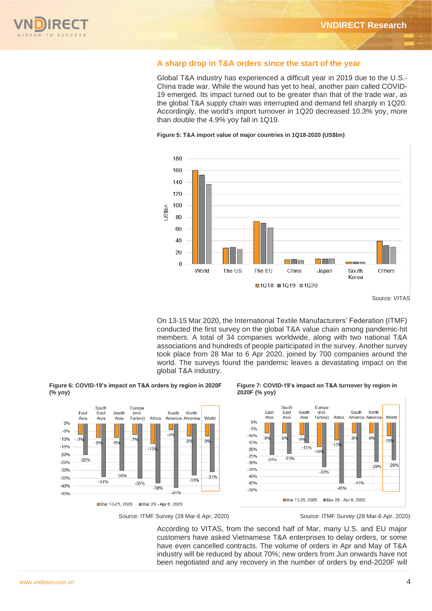

### **A sharp drop in T&A orders since the start of the year**

Global T&A industry has experienced a difficult year in 2019 due to the U.S.- China trade war. While the wound has yet to heal, another pain called COVID-19 emerged. Its impact turned out to be greater than that of the trade war, as the global T&A supply chain was interrupted and demand fell sharply in 1Q20. Accordingly, the world's import turnover in 1Q20 decreased 10.3% yoy, more than double the 4.9% yoy fall in 1Q19.

**Figure 5: T&A import value of major countries in 1Q18-2020 (US\$bn)**



Source: VITAS

On 13-15 Mar 2020, the International Textile Manufacturers' Federation (ITMF) conducted the first survey on the global T&A value chain among pandemic-hit members. A total of 34 companies worldwide, along with two national T&A associations and hundreds of people participated in the survey. Another survey took place from 28 Mar to 6 Apr 2020, joined by 700 companies around the world. The surveys found the pandemic leaves a devastating impact on the global T&A industry.



Europe

(incl.<br>Turkey)

 $-70$ 

 $-35%$ 

Mar 13-25, 2020 Mar 28 - Apr 6, 2020

Africa

 $-139$ 

 $-38%$ 

South

East

Asia

 $-99$ 

 $-34%$ 

South

Asia

 $-9%$ 

 $-30%$ 

Each

Asia

 $-70$ 

 $-20%$ 

 $00$ 

 $-50/$ 

 $-10%$ 

 $-15%$ 

 $-20%$ 

 $-25%$ 

 $-30%$ 

 $-35%$ 

 $-40%$ 

 $-45%$ 

**Figure 7: COVID-19's impact on T&A turnover by region in 2020F (% yoy)**



Mar 13-25 2020 Mar 28 - Apr 6 2020

 $A + 0.4$ 

South

 $\mathbf{A}^{\prime}$ 

North

 $-8%$ 

 $-33%$ 

America America

World

 $-8%$ 

 $-31%$ 

Source: ITMF Survey (28 Mar-6 Apr, 2020) Source: ITMF Survey (28 Mar-6 Apr, 2020)

According to VITAS, from the second half of Mar, many U.S. and EU major customers have asked Vietnamese T&A enterprises to delay orders, or some have even cancelled contracts. The volume of orders in Apr and May of T&A industry will be reduced by about 70%; new orders from Jun onwards have not been negotiated and any recovery in the number of orders by end-2020F will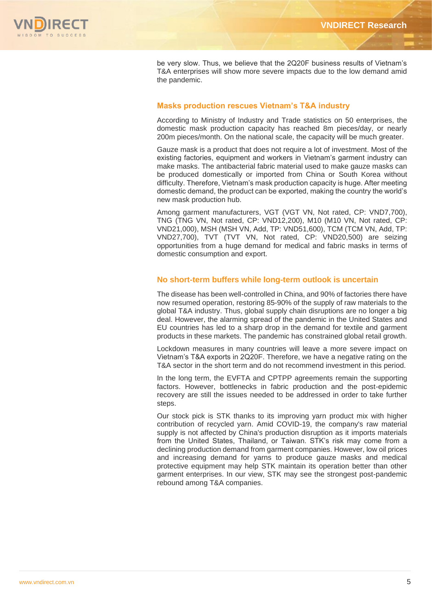

be very slow. Thus, we believe that the 2Q20F business results of Vietnam's T&A enterprises will show more severe impacts due to the low demand amid the pandemic.

# **Masks production rescues Vietnam's T&A industry**

According to Ministry of Industry and Trade statistics on 50 enterprises, the domestic mask production capacity has reached 8m pieces/day, or nearly 200m pieces/month. On the national scale, the capacity will be much greater.

Gauze mask is a product that does not require a lot of investment. Most of the existing factories, equipment and workers in Vietnam's garment industry can make masks. The antibacterial fabric material used to make gauze masks can be produced domestically or imported from China or South Korea without difficulty. Therefore, Vietnam's mask production capacity is huge. After meeting domestic demand, the product can be exported, making the country the world's new mask production hub.

Among garment manufacturers, VGT (VGT VN, Not rated, CP: VND7,700), TNG (TNG VN, Not rated, CP: VND12,200), M10 (M10 VN, Not rated, CP: VND21,000), MSH (MSH VN, Add, TP: VND51,600), TCM (TCM VN, Add, TP: VND27,700), TVT (TVT VN, Not rated, CP: VND20,500) are seizing opportunities from a huge demand for medical and fabric masks in terms of domestic consumption and export.

# **No short-term buffers while long-term outlook is uncertain**

The disease has been well-controlled in China, and 90% of factories there have now resumed operation, restoring 85-90% of the supply of raw materials to the global T&A industry. Thus, global supply chain disruptions are no longer a big deal. However, the alarming spread of the pandemic in the United States and EU countries has led to a sharp drop in the demand for textile and garment products in these markets. The pandemic has constrained global retail growth.

Lockdown measures in many countries will leave a more severe impact on Vietnam's T&A exports in 2Q20F. Therefore, we have a negative rating on the T&A sector in the short term and do not recommend investment in this period.

In the long term, the EVFTA and CPTPP agreements remain the supporting factors. However, bottlenecks in fabric production and the post-epidemic recovery are still the issues needed to be addressed in order to take further steps.

Our stock pick is STK thanks to its improving yarn product mix with higher contribution of recycled yarn. Amid COVID-19, the company's raw material supply is not affected by China's production disruption as it imports materials from the United States, Thailand, or Taiwan. STK's risk may come from a declining production demand from garment companies. However, low oil prices and increasing demand for yarns to produce gauze masks and medical protective equipment may help STK maintain its operation better than other garment enterprises. In our view, STK may see the strongest post-pandemic rebound among T&A companies.